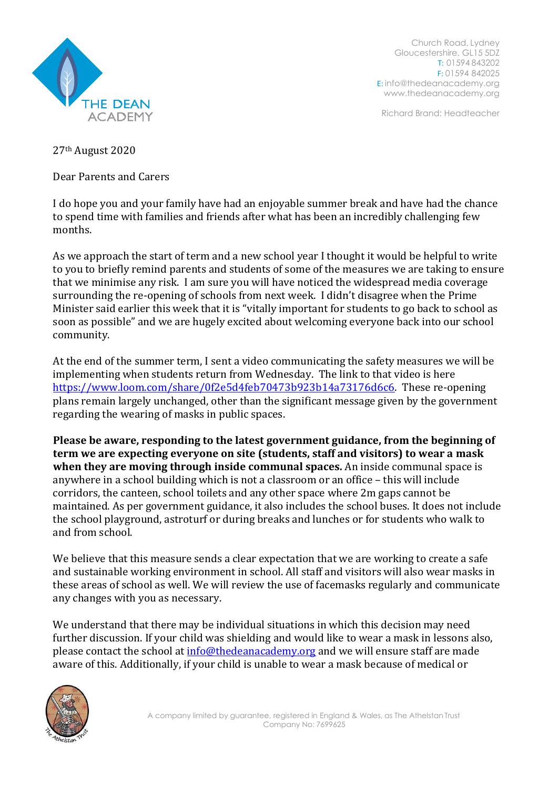

Church Road, Lydney Gloucestershire, GL15 5DZ T: 01594 843202 F: 01594 842025 E: [info@thedeanacademy.org](mailto:info@thedeanacademy.org) [www.thedeanacademy.org](http://www.thedeanacademy.org/)

Richard Brand: Headteacher

27th August 2020

Dear Parents and Carers

I do hope you and your family have had an enjoyable summer break and have had the chance to spend time with families and friends after what has been an incredibly challenging few months.

As we approach the start of term and a new school year I thought it would be helpful to write to you to briefly remind parents and students of some of the measures we are taking to ensure that we minimise any risk. I am sure you will have noticed the widespread media coverage surrounding the re-opening of schools from next week. I didn't disagree when the Prime Minister said earlier this week that it is "vitally important for students to go back to school as soon as possible" and we are hugely excited about welcoming everyone back into our school community.

At the end of the summer term, I sent a video communicating the safety measures we will be implementing when students return from Wednesday. The link to that video is here [https://www.loom.com/share/0f2e5d4feb70473b923b14a73176d6c6.](https://www.loom.com/share/0f2e5d4feb70473b923b14a73176d6c6) These re-opening plans remain largely unchanged, other than the significant message given by the government regarding the wearing of masks in public spaces.

**Please be aware, responding to the latest government guidance, from the beginning of term we are expecting everyone on site (students, staff and visitors) to wear a mask when they are moving through inside communal spaces.** An inside communal space is anywhere in a school building which is not a classroom or an office – this will include corridors, the canteen, school toilets and any other space where 2m gaps cannot be maintained. As per government guidance, it also includes the school buses. It does not include the school playground, astroturf or during breaks and lunches or for students who walk to and from school.

We believe that this measure sends a clear expectation that we are working to create a safe and sustainable working environment in school. All staff and visitors will also wear masks in these areas of school as well. We will review the use of facemasks regularly and communicate any changes with you as necessary.

We understand that there may be individual situations in which this decision may need further discussion. If your child was shielding and would like to wear a mask in lessons also, please contact the school at [info@thedeanacademy.org](mailto:info@thedeanacademy.org) and we will ensure staff are made aware of this. Additionally, if your child is unable to wear a mask because of medical or

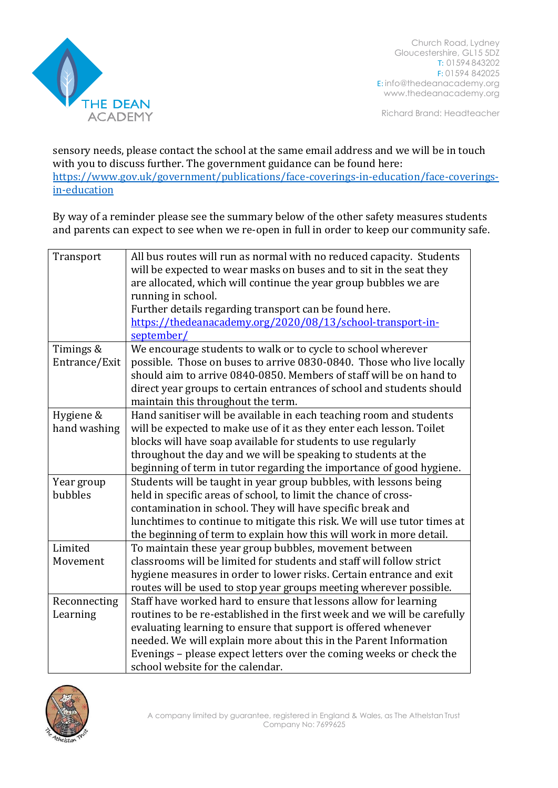

Church Road, Lydney Gloucestershire, GL15 5DZ T: 01594 843202 F: 01594 842025 E: [info@thedeanacademy.org](mailto:info@thedeanacademy.org) [www.thedeanacademy.org](http://www.thedeanacademy.org/)

Richard Brand: Headteacher

sensory needs, please contact the school at the same email address and we will be in touch with you to discuss further. The government guidance can be found here: [https://www.gov.uk/government/publications/face-coverings-in-education/face-coverings](https://www.gov.uk/government/publications/face-coverings-in-education/face-coverings-in-education)[in-education](https://www.gov.uk/government/publications/face-coverings-in-education/face-coverings-in-education)

By way of a reminder please see the summary below of the other safety measures students and parents can expect to see when we re-open in full in order to keep our community safe.

| Transport     | All bus routes will run as normal with no reduced capacity. Students     |
|---------------|--------------------------------------------------------------------------|
|               | will be expected to wear masks on buses and to sit in the seat they      |
|               | are allocated, which will continue the year group bubbles we are         |
|               | running in school.                                                       |
|               | Further details regarding transport can be found here.                   |
|               | https://thedeanacademy.org/2020/08/13/school-transport-in-               |
|               | september/                                                               |
| Timings &     | We encourage students to walk or to cycle to school wherever             |
| Entrance/Exit | possible. Those on buses to arrive 0830-0840. Those who live locally     |
|               | should aim to arrive 0840-0850. Members of staff will be on hand to      |
|               | direct year groups to certain entrances of school and students should    |
|               | maintain this throughout the term.                                       |
| Hygiene &     | Hand sanitiser will be available in each teaching room and students      |
| hand washing  | will be expected to make use of it as they enter each lesson. Toilet     |
|               | blocks will have soap available for students to use regularly            |
|               | throughout the day and we will be speaking to students at the            |
|               | beginning of term in tutor regarding the importance of good hygiene.     |
| Year group    | Students will be taught in year group bubbles, with lessons being        |
| bubbles       | held in specific areas of school, to limit the chance of cross-          |
|               | contamination in school. They will have specific break and               |
|               | lunchtimes to continue to mitigate this risk. We will use tutor times at |
|               | the beginning of term to explain how this will work in more detail.      |
| Limited       | To maintain these year group bubbles, movement between                   |
| Movement      | classrooms will be limited for students and staff will follow strict     |
|               | hygiene measures in order to lower risks. Certain entrance and exit      |
|               | routes will be used to stop year groups meeting wherever possible.       |
| Reconnecting  | Staff have worked hard to ensure that lessons allow for learning         |
| Learning      | routines to be re-established in the first week and we will be carefully |
|               | evaluating learning to ensure that support is offered whenever           |
|               | needed. We will explain more about this in the Parent Information        |
|               | Evenings - please expect letters over the coming weeks or check the      |
|               | school website for the calendar.                                         |